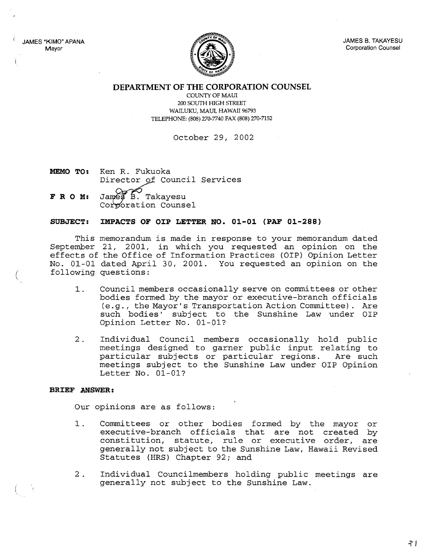JAMES "KIMO" APANA Mayor



JAMES B. TAKAYESU Corporation Counsel

**DEPARTMENT OF THE CORPORATION COUNSEL**

COUNTY OF MAUl 200 SOUTH HIGH STREET WAILUKU, MAUl, HAWAII 96793 TELEPHONE: (808) 270-7740 FAX (808) 270-7152

October 29, 2002

- **MEMO TO:** Ken R. Fukuoka Director of Council Services
- **F R O M:** James B. Takayesu Corporation Counsel

# **SUBJECT: IMPACTS OF OIP LETTER NO. 01-01 (PAF 01-288)**

This memorandum is made in response to your memorandum dated September 21, 2001, in which you requested an opinion on the effects of the Office of Information Practices (OIP) Opinion Letter No. 01-01 dated April 30, 2001. You requested an opinion on the following questions:

- 1. Council members occasionally serve on committees or other bodies formed by the mayor or executive-branch officials (e.g., the Mayor's Transportation Action Committee). Are such bodies' subject to the Sunshine Law under OIP Opinion Letter No. 01-01?
- 2. Individual Council members occasionally hold public meetings designed to garner public input relating to particular subjects or particular regions. Are such meetings subject to the Sunshine Law under OIP Opinion Letter No. 01-01?

#### **BRIEF ANSWER:**

Our opinions are as follows:

- 1. Committees or other bodies formed by the mayor or executive-branch officials that are not created by constitution, statute, rule or executive order, are generally not subject to the Sunshine Law, Hawaii Revised Statutes (HRS) Chapter 92; and
- 2 . Individual Councilmembers holding public meetings are generally not subject to the Sunshine Law.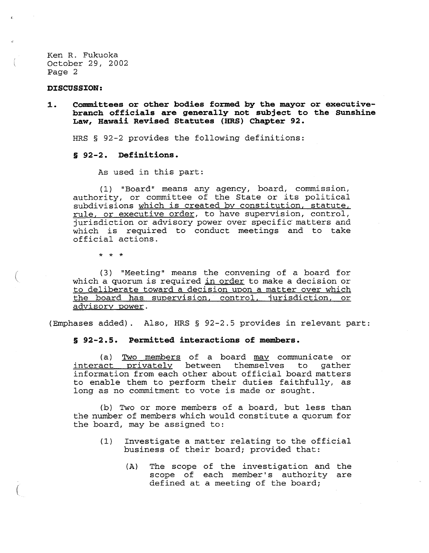Ken R. Fukuoka October 29, 2002 Page 2

#### **DISCUSSION:**

(

(

**1. Committees or other bodies for.med by the mayor or executivebranch officials are generally not subject to the Sunshine Law, Hawaii Revised Statutes (HRS) Chapter 92.**

HRS § 92-2 provides the following definitions:

## **§ 92-2. Definitions.**

As used in this part:

(1) "Board" means any agency, board, commission, authority, or committee of the State or its political subdivisions which is created by constitution, statute, rule, or executive order, to have supervision, control, jurisdiction or advisory power over specific matters and which is required to conduct meetings and to take official actions.

\* \* \*

(3) "Meeting" means the convening of a board for which a quorum is required in order to make a decision or to deliberate toward a decision upon a matter over which the board has supervision, control, jurisdiction, or advisory power.

(Emphases added). Also, HRS § 92-2.5 provides in relevant part:

## **§ 92-2.5. Per.mitted interactions of members.**

(a) Two members of a board may communicate or<br>act privately between themselves to gather interact privately between themselves to information from each other about official board matters to enable them to perform their duties faithfully, as long as no commitment to vote is made or sought.

(b) Two or more members of a board, but less than the number of members which would constitute a quorum for the board, may be assigned to:

- (1) Investigate <sup>a</sup> matter relating to the official business of their board; provided that:
	- (A) The scope of the investigation and the scope of each member's authority are defined at <sup>a</sup> meeting of the board;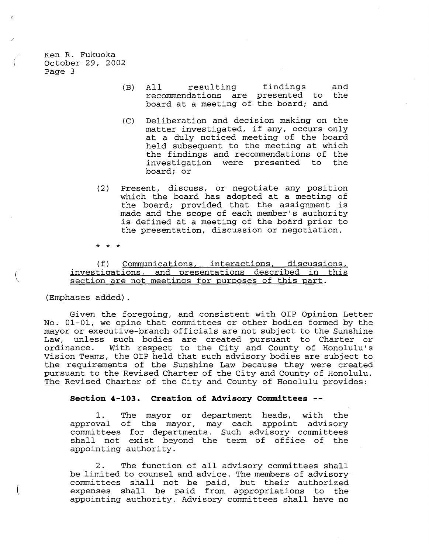Ken R. Fukuoka October 29, 2002 Page 3

- (B) All resulting findings recommendations are presented to board at <sup>a</sup> meeting of the board; and and the
- *(C)* Deliberation and decision making on the matter investigated, if any, occurs only at <sup>a</sup> duly noticed meeting of the board held subsequent to the meeting at which the findings and recommendations of the<br>investigation were presented to the investigation were presented to board; or
- (2) Present, discuss, or negotiate any position which the board has adopted at <sup>a</sup> meeting of the board; provided that the assignment is made and the scope of each member's authority is defined at <sup>a</sup> meeting of the board prior to the presentation, discussion or negotiation.

\* \* \*

(f) Communications, interactions, discussions, investigations, and oresentations described in this section are not meetings for purposes of this part.

(Emphases added) .

(

Given the foregoing, and consistent with OIP Opinion Letter No. 01-01, we opine that committees or other bodies formed by the mayor or executive-branch officials are not subject to the Sunshine Law, unless such bodies are created pursuant to Charter or<br>ordinance. With respect to the City and County of Honolulu's With respect to the City and County of Honolulu's Vision Teams, the OIP held that such advisory bodies are subject to the requirements of the Sunshine Law because they were created pursuant to the Revised Charter of the City and County of Honolulu. The Revised Charter of the City and County of Honolulu provides:

## **Section 4-103. Creation of Advisory Committees --**

1. The mayor or department heads, with the approval of the mayor, may each appoint advisory committees for departments. Such advisory committees shall not exist beyond the term of office of the appointing authority.

2. The function of all advisory committees shall be limited to counsel and advice. The members of advisory committees shall not be paid, but their authorized expenses shall be paid from appropriations to the appointing authority. Advisory committees shall have no